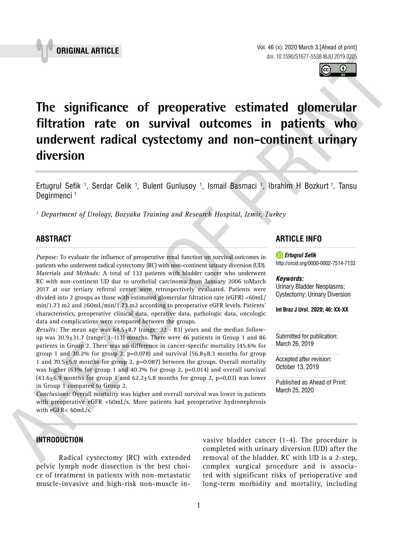

# **The significance of preoperative estimated glomerular filtration rate on survival outcomes in patients who underwent radical cystectomy and non-continent urinary diversion \_\_\_\_\_\_\_\_\_\_\_\_\_\_\_\_\_\_\_\_\_\_\_\_\_\_\_\_\_\_\_\_\_\_\_\_\_\_\_\_\_\_\_\_\_\_\_**

Ertugrul Sefik <sup>1</sup>, Serdar Celik <sup>1</sup>, Bulent Gunlusoy <sup>1</sup>, Ismail Basmaci <sup>1</sup>, Ibrahim H Bozkurt <sup>1</sup>, Tansu Degirmenci<sup>1</sup>

*1 Department of Urology, Bozyaka Training and Research Hospital, Izmir, Turkey*

# **ABSTRACT**

*Purpose:* To evaluate the influence of preoperative renal function on survival outcomes in patients who underwent radical cystectomy (RC) with non-continent urinary diversion (UD). *Materials and Methods:* A total of 132 patients with bladder cancer who underwent RC with non-continent UD due to urothelial carcinoma from January 2006 toMarch 2017 at our tertiary referral center were retrospectively evaluated. Patients were divided into 2 groups as those with estimated glomerular filtration rate (eGFR) <60mL/ min/1.73 m2 and ≥60mL/min/1.73 m2 according to preoperative eGFR levels. Patients' characteristics, preoperative clinical data, operative data, pathologic data, oncologic data and complications were compared between the groups.

*Results:* The mean age was 64.5±8.7 (range: 32 - 83) years and the median followup was  $30.9\pm31.7$  (range: 1-113) months. There were 46 patients in Group 1 and 86 patients in Group 2. There was no difference in cancer-specific mortality (45.6% for group 1 and 30.2% for group 2,  $p=0.078$  and survival (56.8 $\pm$ 8.3 months for group 1 and 70.5 $\pm$ 5.9 months for group 2, p=0.087) between the groups. Overall mortality was higher (63% for group 1 and 40.7% for group 2,  $p=0.014$ ) and overall survival  $(43.6±6.9$  months for group 1 and  $62.2±5.8$  months for group 2, p=0.03) was lower in Group 1 compared to Group 2.

*Conclusions:* Overall mortality was higher and overall survival was lower in patients with preoperative eGFR <60mL/s. More patients had preoperative hydronephrosis with eGFR< 60mL/s.

# **ARTICLE INFO**

*Ertugrul Sefik* http://orcid.org/0000-0002-7514-7133

#### *Keywords:*

Urinary Bladder Neoplasms; Cystectomy; Urinary Diversion

**Int Braz J Urol. 2020; 46: XX-XX**

Submitted for publication: March 26, 2019

Accepted after revision: October 13, 2019

Published as Ahead of Print: March 25, 2020

# **INTRODUCTION**

Radical cystectomy (RC) with extended pelvic lymph node dissection is the best choice of treatment in patients with non-metastatic muscle-invasive and high-risk non-muscle invasive bladder cancer (1-4). The procedure is completed with urinary diversion (UD) after the removal of the bladder. RC with UD is a 2-step, complex surgical procedure and is associated with significant risks of perioperative and long-term morbidity and mortality, including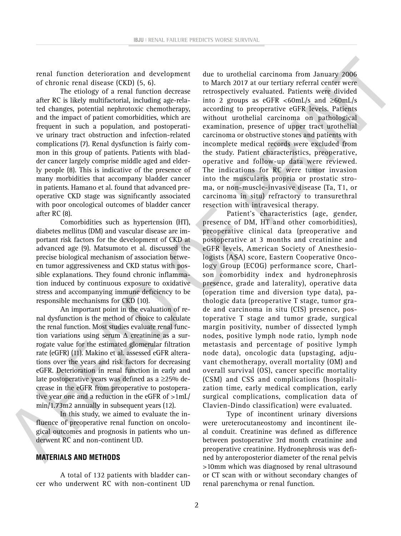renal function deterioration and development of chronic renal disease (CKD) (5, 6).

The etiology of a renal function decrease after RC is likely multifactorial, including age-related changes, potential nephrotoxic chemotherapy, and the impact of patient comorbidities, which are frequent in such a population, and postoperative urinary tract obstruction and infection-related complications (7). Renal dysfunction is fairly common in this group of patients. Patients with bladder cancer largely comprise middle aged and elderly people (8). This is indicative of the presence of many morbidities that accompany bladder cancer in patients. Hamano et al. found that advanced preoperative CKD stage was significantly associated with poor oncological outcomes of bladder cancer after RC (8).

Comorbidities such as hypertension (HT), diabetes mellitus (DM) and vascular disease are important risk factors for the development of CKD at advanced age (9). Matsumoto et al. discussed the precise biological mechanism of association between tumor aggressiveness and CKD status with possible explanations. They found chronic inflammation induced by continuous exposure to oxidative stress and accompanying immune deficiency to be responsible mechanisms for CKD (10).

An important point in the evaluation of renal dysfunction is the method of choice to calculate the renal function. Most studies evaluate renal function variations using serum  $\Delta$  creatinine as a surrogate value for the estimated glomerular filtration rate (eGFR) (11). Makino et al. assessed eGFR alterations over the years and risk factors for decreasing eGFR. Deterioration in renal function in early and late postoperative years was defined as a ≥25% decrease in the eGFR from preoperative to postoperative year one and a reduction in the eGFR of >1mL/ min/1.73m2 annually in subsequent years (12).

In this study, we aimed to evaluate the influence of preoperative renal function on oncological outcomes and prognosis in patients who underwent RC and non-continent UD.

#### **MATERIALS AND METHODS**

A total of 132 patients with bladder cancer who underwent RC with non-continent UD due to urothelial carcinoma from January 2006 to March 2017 at our tertiary referral center were retrospectively evaluated. Patients were divided into 2 groups as eGFR <60mL/s and  $\geq$ 60mL/s according to preoperative eGFR levels. Patients without urothelial carcinoma on pathological examination, presence of upper tract urothelial carcinoma or obstructive stones and patients with incomplete medical records were excluded from the study. Patient characteristics, preoperative, operative and follow-up data were reviewed. The indications for RC were tumor invasion into the muscularis propria or prostatic stroma, or non-muscle-invasive disease (Ta, T1, or carcinoma in situ) refractory to transurethral resection with intravesical therapy.

Patient's characteristics (age, gender, presence of DM, HT and other comorbidities), preoperative clinical data (preoperative and postoperative at 3 months and creatinine and eGFR levels, American Society of Anesthesiologists (ASA) score, Eastern Cooperative Oncology Group (ECOG) performance score, Charlson comorbidity index and hydronephrosis presence, grade and laterality), operative data (operation time and diversion type data), pathologic data (preoperative T stage, tumor grade and carcinoma in situ (CIS) presence, postoperative T stage and tumor grade, surgical margin positivity, number of dissected lymph nodes, positive lymph node ratio, lymph node metastasis and percentage of positive lymph node data), oncologic data (upstaging, adjuvant chemotherapy, overall mortality (OM) and overall survival (OS), cancer specific mortality (CSM) and CSS and complications (hospitalization time, early medical complication, early surgical complications, complication data of Clavien-Dindo classification) were evaluated.

Type of incontinent urinary diversions were ureterocutaneostomy and incontinent ileal conduit. Creatinine was defined as difference between postoperative 3rd month creatinine and preoperative creatinine. Hydronephrosis was defined by anteroposterior diameter of the renal pelvis >10mm which was diagnosed by renal ultrasound or CT scan with or without secondary changes of renal parenchyma or renal function.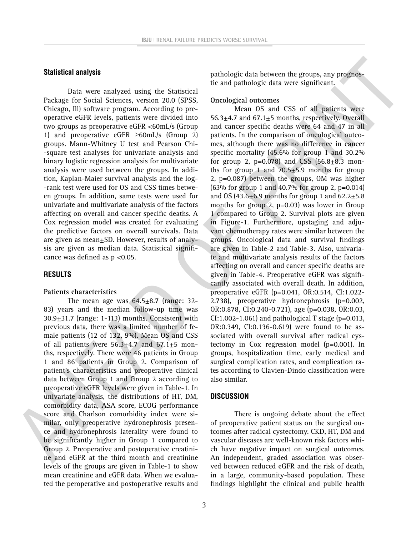## **Statistical analysis**

Data were analyzed using the Statistical Package for Social Sciences, version 20.0 (SPSS, Chicago, Ill) software program. According to preoperative eGFR levels, patients were divided into two groups as preoperative eGFR <60mL/s (Group 1) and preoperative eGFR  $\geq 60$ mL/s (Group 2) groups. Mann-Whitney U test and Pearson Chi- -square test analyses for univariate analysis and binary logistic regression analysis for multivariate analysis were used between the groups. In addition, Kaplan-Maier survival analysis and the log- -rank test were used for OS and CSS times between groups. In addition, same tests were used for univariate and multivariate analysis of the factors affecting on overall and cancer specific deaths. A Cox regression model was created for evaluating the predictive factors on overall survivals. Data are given as mean±SD. However, results of analysis are given as median data. Statistical significance was defined as p <0.05.

## **RESULTS**

#### **Patients characteristics**

The mean age was  $64.5\pm8.7$  (range: 32-83) years and the median follow-up time was  $30.9\pm31.7$  (range: 1-113) months. Consistent with previous data, there was a limited number of female patients (12 of 132, 9%). Mean OS and CSS of all patients were  $56.3\pm4.7$  and  $67.1\pm5$  months, respectively. There were 46 patients in Group 1 and 86 patients in Group 2. Comparison of patient's characteristics and preoperative clinical data between Group 1 and Group 2 according to preoperative eGFR levels were given in Table-1. In univariate analysis, the distributions of HT, DM, comorbidity data, ASA score, ECOG performance score and Charlson comorbidity index were similar, only preoperative hydronephrosis presence and hydronephrosis laterality were found to be significantly higher in Group 1 compared to Group 2. Preoperative and postoperative creatinine and eGFR at the third month and creatinine levels of the groups are given in Table-1 to show mean creatinine and eGFR data. When we evaluated the peroperative and postoperative results and pathologic data between the groups, any prognostic and pathologic data were significant.

#### **Oncological outcomes**

Mean OS and CSS of all patients were 56.3 $\pm$ 4.7 and 67.1 $\pm$ 5 months, respectively. Overall and cancer specific deaths were 64 and 47 in all patients. In the comparison of oncological outcomes, although there was no difference in cancer specific mortality (45.6% for group 1 and 30.2% for group 2, p=0.078) and CSS  $(56.8 \pm 8.3 \text{ mon}$ ths for group 1 and  $70.5 \pm 5.9$  months for group 2, p=0.087) between the groups, OM was higher (63% for group 1 and 40.7% for group 2, p=0.014) and OS (43.6 $\pm$ 6.9 months for group 1 and 62.2 $\pm$ 5.8 months for group 2, p=0.03) was lower in Group 1 compared to Group 2. Survival plots are given in Figure-1. Furthermore, upstaging and adjuvant chemotherapy rates were similar between the groups. Oncological data and survival findings are given in Table-2 and Table-3. Also, univariate and multivariate analysis results of the factors affecting on overall and cancer specific deaths are given in Table-4. Preoperative eGFR was significantly associated with overall death. In addition, preoperative eGFR (p=0.041, OR:0.514, CI:1.022- 2.738), preoperative hydronephrosis (p=0.002, OR:0.878, CI:0.240-0.721), age (p=0.038, OR:0.03, CI:1.002-1.061) and pathological T stage ( $p=0.013$ , OR:0.349, CI:0.136-0.619) were found to be associated with overall survival after radical cystectomy in Cox regression model (p=0.001). In groups, hospitalization time, early medical and surgical complication rates, and complication rates according to Clavien-Dindo classification were also similar.

#### **DISCUSSION**

There is ongoing debate about the effect of preoperative patient status on the surgical outcomes after radical cystectomy. CKD, HT, DM and vascular diseases are well-known risk factors which have negative impact on surgical outcomes. An independent, graded association was observed between reduced eGFR and the risk of death, in a large, community-based population. These findings highlight the clinical and public health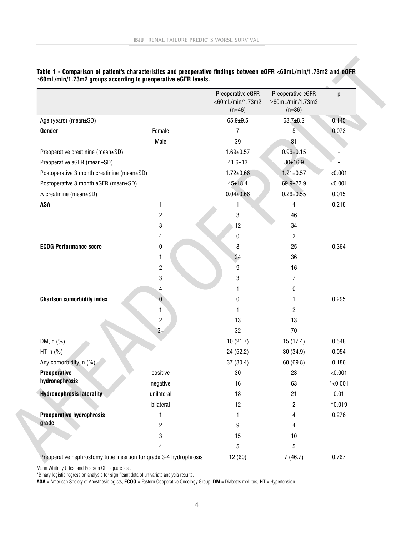|                                                                    |                         | Preoperative eGFR<br><60mL/min/1.73m2<br>$(n=46)$ | Preoperative eGFR<br>≥60mL/min/1.73m2<br>$(n=86)$ | p          |
|--------------------------------------------------------------------|-------------------------|---------------------------------------------------|---------------------------------------------------|------------|
| Age (years) (mean±SD)                                              |                         | $65.9 + 9.5$                                      | $63.7 + 8.2$                                      | 0.145      |
| Gender                                                             | Female                  | $\overline{7}$                                    | 5                                                 | 0.073      |
|                                                                    | Male                    | 39                                                | 81                                                |            |
| Preoperative creatinine (mean±SD)                                  |                         | $1.69 \pm 0.57$                                   | $0.96 \pm 0.15$                                   |            |
| Preoperative eGFR (mean±SD)                                        |                         | $41.6 \pm 13$                                     | $80 + 16.9$                                       |            |
| Postoperative 3 month creatinine (mean±SD)                         |                         | $1.72 \pm 0.66$                                   | $1.21 \pm 0.57$                                   | < 0.001    |
| Postoperative 3 month eGFR (mean±SD)                               |                         | $45 + 18.4$                                       | 69.9±22.9                                         | < 0.001    |
| $\triangle$ creatinine (mean±SD)                                   |                         | $0.04 \pm 0.66$                                   | $0.26 \pm 0.55$                                   | 0.015      |
| <b>ASA</b>                                                         | 1                       | 1                                                 | 4                                                 | 0.218      |
|                                                                    | $\overline{c}$          | $\sqrt{3}$                                        | 46                                                |            |
|                                                                    | 3                       | 12                                                | 34                                                |            |
|                                                                    | 4                       | $\pmb{0}$                                         | $\overline{2}$                                    |            |
| <b>ECOG Performance score</b>                                      | 0                       | 8                                                 | 25                                                | 0.364      |
|                                                                    | 1                       | 24                                                | 36                                                |            |
|                                                                    | $\overline{\mathbf{c}}$ | 9                                                 | 16                                                |            |
|                                                                    | 3                       | 3                                                 | 7                                                 |            |
|                                                                    | 4                       | 1                                                 | $\pmb{0}$                                         |            |
| <b>Charlson comorbidity index</b>                                  | 0                       | 0                                                 | 1.                                                | 0.295      |
|                                                                    | 1                       | 1                                                 | $\overline{2}$                                    |            |
|                                                                    | $\overline{2}$          | 13                                                | 13                                                |            |
|                                                                    | $3+$                    | 32                                                | 70                                                |            |
| DM, n (%)                                                          |                         | 10(21.7)                                          | 15 (17.4)                                         | 0.548      |
| HT, n (%)                                                          |                         | 24 (52.2)                                         | 30 (34.9)                                         | 0.054      |
| Any comorbidity, n (%)                                             |                         | 37(80.4)                                          | 60 (69.8)                                         | 0.186      |
| <b>Preoperative</b>                                                | positive                | 30                                                | 23                                                | < 0.001    |
| hydronephrosis                                                     | negative                | 16                                                | 63                                                | $*$ <0.001 |
| <b>Hydronephrosis laterality</b>                                   | unilateral              | 18                                                | 21                                                | 0.01       |
|                                                                    | bilateral               | 12                                                | $\overline{2}$                                    | $*0.019$   |
| <b>Preoperative hydrophrosis</b>                                   | $\mathbf{1}$            | 1                                                 | 4                                                 | 0.276      |
| grade                                                              | 2                       | 9                                                 | 4                                                 |            |
|                                                                    | 3                       | 15                                                | 10                                                |            |
|                                                                    | 4                       | 5                                                 | 5                                                 |            |
| Preoperative nephrostomy tube insertion for grade 3-4 hydrophrosis |                         | 12(60)                                            | 7(46.7)                                           | 0.767      |

## **Table 1 - Comparison of patient's characteristics and preoperative findings between eGFR <60mL/min/1.73m2 and eGFR**  ≥**60mL/min/1.73m2 groups according to preoperative eGFR levels.**

Mann Whitney U test and Pearson Chi-square test.

\*Binary logistic regression analysis for significant data of univariate analysis results.

**ASA** = American Society of Anesthesiologists; **ECOG** = Eastern Cooperative Oncology Group; **DM** = Diabetes mellitus; **HT** = Hypertension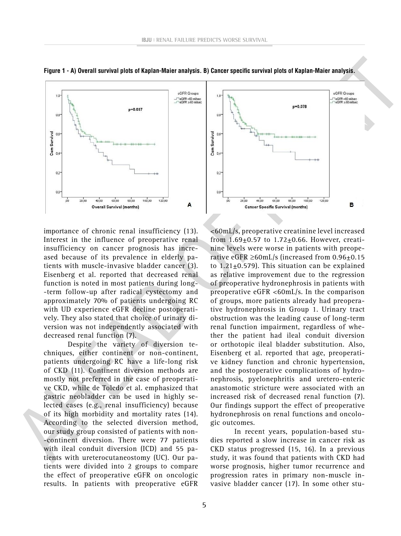

**Figure 1 - A) Overall survival plots of Kaplan-Maier analysis. B) Cancer specific survival plots of Kaplan-Maier analysis.**

importance of chronic renal insufficiency (13). Interest in the influence of preoperative renal insufficiency on cancer prognosis has increased because of its prevalence in elderly patients with muscle-invasive bladder cancer (3). Eisenberg et al. reported that decreased renal function is noted in most patients during long- -term follow-up after radical cystectomy and approximately 70% of patients undergoing RC with UD experience eGFR decline postoperatively. They also stated that choice of urinary diversion was not independently associated with decreased renal function (7).

Despite the variety of diversion techniques, either continent or non-continent, patients undergoing RC have a life-long risk of CKD (11). Continent diversion methods are mostly not preferred in the case of preoperative CKD, while de Toledo et al. emphasized that gastric neobladder can be used in highly selected cases (e.g., renal insufficiency) because of its high morbidity and mortality rates (14). According to the selected diversion method, our study group consisted of patients with non- -continent diversion. There were 77 patients with ileal conduit diversion (ICD) and 55 patients with ureterocutaneostomy (UC). Our patients were divided into 2 groups to compare the effect of preoperative eGFR on oncologic results. In patients with preoperative eGFR



<60mL/s, preoperative creatinine level increased from  $1.69 \pm 0.57$  to  $1.72 \pm 0.66$ . However, creatinine levels were worse in patients with preoperative eGFR ≥60mL/s (increased from  $0.96\pm0.15$ to 1.21±0.579). This situation can be explained as relative improvement due to the regression of preoperative hydronephrosis in patients with preoperative eGFR <60mL/s. In the comparison of groups, more patients already had preoperative hydronephrosis in Group 1. Urinary tract obstruction was the leading cause of long-term renal function impairment, regardless of whether the patient had ileal conduit diversion or orthotopic ileal bladder substitution. Also, Eisenberg et al. reported that age, preoperative kidney function and chronic hypertension, and the postoperative complications of hydronephrosis, pyelonephritis and uretero-enteric anastomotic stricture were associated with an increased risk of decreased renal function (7). Our findings support the effect of preoperative hydronephrosis on renal functions and oncologic outcomes.

In recent years, population-based studies reported a slow increase in cancer risk as CKD status progressed (15, 16). In a previous study, it was found that patients with CKD had worse prognosis, higher tumor recurrence and progression rates in primary non-muscle invasive bladder cancer (17). In some other stu-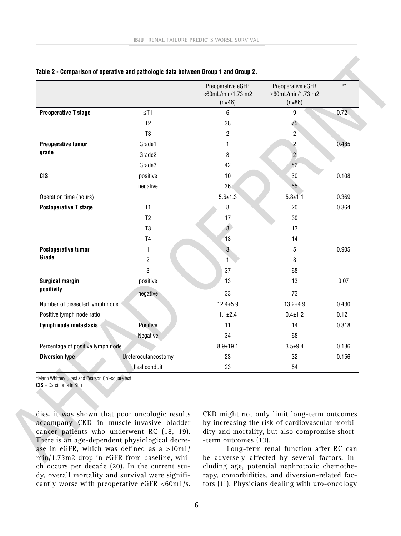|                                   |                     | Preoperative eGFR<br><60mL/min/1.73 m2<br>$(n=46)$ | Preoperative eGFR<br>≥60mL/min/1.73 m2<br>$(n=86)$ | $P^*$ |
|-----------------------------------|---------------------|----------------------------------------------------|----------------------------------------------------|-------|
| <b>Preoperative T stage</b>       | $\leq$ T1           | 6                                                  | 9                                                  | 0.721 |
|                                   | T <sub>2</sub>      | 38                                                 | 75                                                 |       |
|                                   | T <sub>3</sub>      | $\overline{2}$                                     | $\overline{2}$                                     |       |
| <b>Preoperative tumor</b>         | Grade1              | 1                                                  | $\overline{\mathbf{c}}$                            | 0.485 |
| grade                             | Grade2              | 3                                                  | $\overline{2}$                                     |       |
|                                   | Grade3              | 42                                                 | 82                                                 |       |
| <b>CIS</b>                        | positive            | 10                                                 | 30                                                 | 0.108 |
|                                   | negative            | 36                                                 | 55                                                 |       |
| Operation time (hours)            |                     | $5.6 \pm 1.3$                                      | $5.8 + 1.1$                                        | 0.369 |
| <b>Postoperative T stage</b>      | T1                  | 8                                                  | 20                                                 | 0.364 |
|                                   | T <sub>2</sub>      | 17                                                 | 39                                                 |       |
|                                   | T <sub>3</sub>      | $\overline{\mathbf{8}}$                            | 13                                                 |       |
|                                   | T <sub>4</sub>      | 13                                                 | 14                                                 |       |
| <b>Postoperative tumor</b>        | 1                   | 3                                                  | 5                                                  | 0.905 |
| Grade                             | $\overline{2}$      | 1                                                  | 3                                                  |       |
|                                   | 3                   | 37                                                 | 68                                                 |       |
| <b>Surgical margin</b>            | positive            | 13                                                 | 13                                                 | 0.07  |
| positivity                        | negative            | 33                                                 | 73                                                 |       |
| Number of dissected lymph node    |                     | $12.4 \pm 5.9$                                     | $13.2 + 4.9$                                       | 0.430 |
| Positive lymph node ratio         |                     | $1.1 \pm 2.4$                                      | $0.4 \pm 1.2$                                      | 0.121 |
| Lymph node metastasis             | Positive            | 11                                                 | 14                                                 | 0.318 |
|                                   | Negative            | 34                                                 | 68                                                 |       |
| Percentage of positive lymph node |                     | $8.9 + 19.1$                                       | $3.5 + 9.4$                                        | 0.136 |
| <b>Diversion type</b>             | Ureterocutaneostomy | 23                                                 | 32                                                 | 0.156 |
|                                   | lleal conduit       | 23                                                 | 54                                                 |       |

#### **Table 2 - Comparison of operative and pathologic data between Group 1 and Group 2.**

\*Mann Whitney U test and Pearson Chi-square test **CIS** = Carcinoma In Situ

dies, it was shown that poor oncologic results accompany CKD in muscle-invasive bladder cancer patients who underwent RC (18, 19). There is an age-dependent physiological decrease in eGFR, which was defined as a >10mL/ min/1.73m2 drop in eGFR from baseline, which occurs per decade (20). In the current study, overall mortality and survival were significantly worse with preoperative eGFR <60mL/s.

CKD might not only limit long-term outcomes by increasing the risk of cardiovascular morbidity and mortality, but also compromise short- -term outcomes (13).

Long-term renal function after RC can be adversely affected by several factors, including age, potential nephrotoxic chemotherapy, comorbidities, and diversion-related factors (11). Physicians dealing with uro-oncology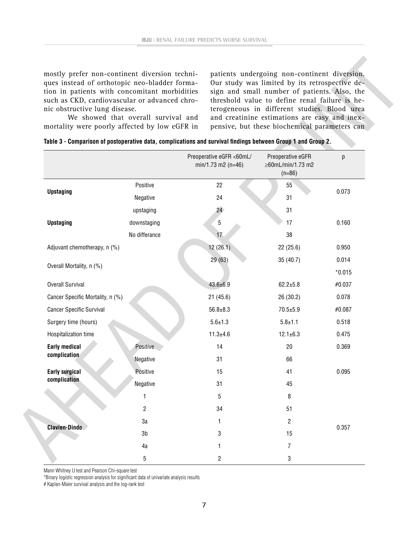mostly prefer non-continent diversion techniques instead of orthotopic neo-bladder formation in patients with concomitant morbidities such as CKD, cardiovascular or advanced chronic obstructive lung disease.

We showed that overall survival and mortality were poorly affected by low eGFR in

patients undergoing non-continent diversion. Our study was limited by its retrospective design and small number of patients. Also, the threshold value to define renal failure is heterogeneous in different studies. Blood urea and creatinine estimations are easy and inexpensive, but these biochemical parameters can

|  | mortanty were poonly ancetted by fow conferment pensive, but these bioencinical paral                        |  |  |  |  |
|--|--------------------------------------------------------------------------------------------------------------|--|--|--|--|
|  | Table 3 - Comparison of postoperative data, complications and survival findings between Group 1 and Group 2. |  |  |  |  |

|                                                      |                 | Preoperative eGFR <60mL/<br>$min/1.73$ m2 (n=46) | Preoperative eGFR<br>≥60mL/min/1.73 m2<br>$(n=86)$ | p        |
|------------------------------------------------------|-----------------|--------------------------------------------------|----------------------------------------------------|----------|
|                                                      | Positive        | 22                                               | 55                                                 | 0.073    |
| <b>Upstaging</b>                                     | Negative        | 24                                               | 31                                                 |          |
|                                                      | upstaging       | 24                                               | 31                                                 |          |
| <b>Upstaging</b>                                     | downstaging     | $5\,$                                            | 17                                                 | 0.160    |
|                                                      | No differance   | 17                                               | 38                                                 |          |
| Adjuvant chemotherapy, n (%)                         |                 | 12(26.1)                                         | 22(25.6)                                           | 0.950    |
| Overall Mortality, n (%)                             |                 | 29(63)                                           | 35 (40.7)                                          | 0.014    |
|                                                      |                 |                                                  |                                                    | $*0.015$ |
| <b>Overall Survival</b>                              |                 | $43.6 \pm 6.9$                                   | $62.2 + 5.8$                                       | #0.037   |
| Cancer Specific Mortality, n (%)                     |                 | 21(45.6)                                         | 26 (30.2)                                          | 0.078    |
| <b>Cancer Specific Survival</b>                      |                 | $56.8 + 8.3$                                     | $70.5 + 5.9$                                       | #0.087   |
| Surgery time (hours)                                 |                 | $5.6 \pm 1.3$                                    | $5.8 + 1.1$                                        | 0.518    |
| Hospitalization time                                 |                 | $11.3 + 4.6$                                     | $12.1 \pm 6.3$                                     | 0.475    |
| <b>Early medical</b>                                 | <b>Positive</b> | 14                                               | 20                                                 | 0.369    |
|                                                      | Negative        | 31                                               | 66                                                 |          |
| <b>Early surgical</b>                                | Positive        | 15                                               | 41                                                 | 0.095    |
|                                                      | Negative        | 31                                               | 45                                                 |          |
|                                                      | 1               | 5                                                | 8                                                  |          |
|                                                      | $\overline{2}$  | 34                                               | 51                                                 |          |
|                                                      | 3a              | 1                                                | $\overline{2}$                                     | 0.357    |
| complication<br>complication<br><b>Clavien-Dindo</b> | 3 <sub>b</sub>  | 3                                                | 15                                                 |          |
|                                                      | 4a              | 1                                                | $\overline{7}$                                     |          |
|                                                      | 5               | $\overline{2}$                                   | $\sqrt{3}$                                         |          |

Mann Whitney U test and Pearson Chi-square test

\*Binary logistic regression analysis for significant data of univariate analysis results

# Kaplan-Maier survival analysis and the log-rank test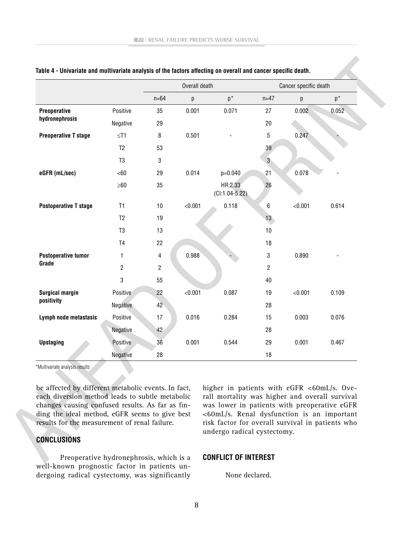|                              |                | Overall death  |         |                             | Cancer specific death |         |       |  |
|------------------------------|----------------|----------------|---------|-----------------------------|-----------------------|---------|-------|--|
|                              |                | $n = 64$       | p       | $p^*$                       | $n=47$                | р       | $p^*$ |  |
| Preoperative                 | Positive       | 35             | 0.001   | 0.071                       | 27                    | 0.002   | 0.052 |  |
| hydronephrosis               | Negative       | 29             |         |                             | 20                    |         |       |  |
| <b>Preoperative T stage</b>  | $≤T1$          | 8              | 0.501   |                             | 5                     | 0.247   |       |  |
|                              | T <sub>2</sub> | 53             |         |                             | 39                    |         |       |  |
|                              | T <sub>3</sub> | 3              |         |                             | 3 <sup>°</sup>        |         |       |  |
| eGFR (mL/sec)                | <60            | 29             | 0.014   | $p=0.040$                   | 21                    | 0.078   |       |  |
|                              | $\geq 60$      | 35             |         | HR:2.33<br>$(Cl:1.04-5.22)$ | 26                    |         |       |  |
| <b>Postoperative T stage</b> | T1             | 10             | < 0.001 | 0.118                       | 6                     | < 0.001 | 0.614 |  |
|                              | T <sub>2</sub> | 19             |         |                             | 13 <sup>°</sup>       |         |       |  |
|                              | T <sub>3</sub> | 13             |         |                             | 10                    |         |       |  |
|                              | T <sub>4</sub> | 22             |         |                             | 18                    |         |       |  |
| <b>Postoperative tumor</b>   | 1              | 4              | 0.988   |                             | $\sqrt{3}$            | 0.890   |       |  |
| Grade                        | $\overline{c}$ | $\overline{c}$ |         |                             | $\overline{c}$        |         |       |  |
|                              | 3              | 55             |         |                             | 40                    |         |       |  |
| <b>Surgical margin</b>       | Positive       | 22             | < 0.001 | 0.087                       | 19                    | < 0.001 | 0.109 |  |
| positivity                   | Negative       | 42             |         |                             | 28                    |         |       |  |
| Lymph node metastasis        | Positive       | 17             | 0.016   | 0.284                       | 15                    | 0.003   | 0.076 |  |
|                              | Negative       | 42             |         |                             | 28                    |         |       |  |
| <b>Upstaging</b>             | Positive       | 36             | 0.001   | 0.544                       | 29                    | 0.001   | 0.467 |  |
|                              | Negative       | 28             |         |                             | 18                    |         |       |  |

#### **Table 4 - Univariate and multivariate analysis of the factors affecting on overall and cancer specific death.**

\*Multivariate analysis results

be affected by different metabolic events. In fact, each diversion method leads to subtle metabolic changes causing confused results. As far as finding the ideal method, eGFR seems to give best results for the measurement of renal failure.

## **CONCLUSIONS**

Preoperative hydronephrosis, which is a well-known prognostic factor in patients undergoing radical cystectomy, was significantly higher in patients with eGFR <60mL/s. Overall mortality was higher and overall survival was lower in patients with preoperative eGFR <60mL/s. Renal dysfunction is an important risk factor for overall survival in patients who undergo radical cystectomy.

## **CONFLICT OF INTEREST**

None declared.